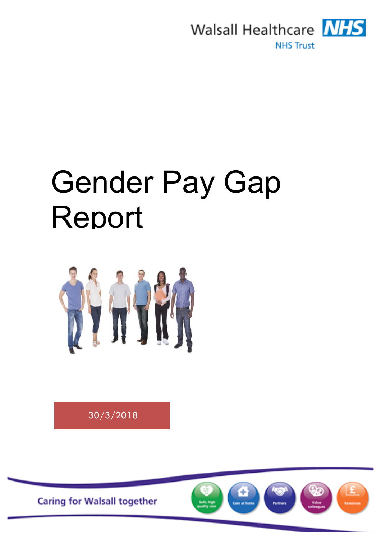

# Gender Pay Gap Report



30/3/2018

**Caring for Walsall together** 

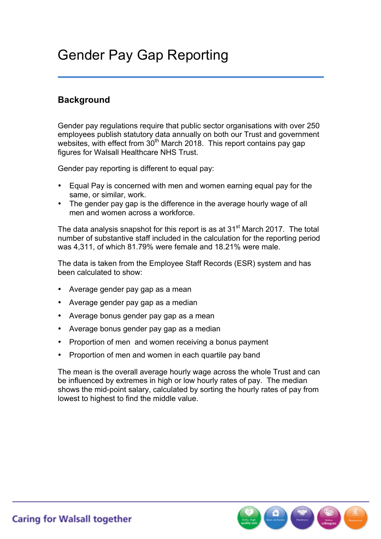## Gender Pay Gap Reporting

#### **Background**

Gender pay regulations require that public sector organisations with over 250 employees publish statutory data annually on both our Trust and government websites, with effect from 30<sup>th</sup> March 2018. This report contains pay gap figures for Walsall Healthcare NHS Trust.

Gender pay reporting is different to equal pay:

- Equal Pay is concerned with men and women earning equal pay for the same, or similar, work.
- The gender pay gap is the difference in the average hourly wage of all men and women across a workforce.

The data analysis snapshot for this report is as at 31<sup>st</sup> March 2017. The total number of substantive staff included in the calculation for the reporting period was 4,311, of which 81.79% were female and 18.21% were male.

The data is taken from the Employee Staff Records (ESR) system and has been calculated to show:

- Average gender pay gap as a mean
- Average gender pay gap as a median
- Average bonus gender pay gap as a mean
- Average bonus gender pay gap as a median
- Proportion of men and women receiving a bonus payment
- Proportion of men and women in each quartile pay band

The mean is the overall average hourly wage across the whole Trust and can be influenced by extremes in high or low hourly rates of pay. The median shows the mid-point salary, calculated by sorting the hourly rates of pay from lowest to highest to find the middle value.

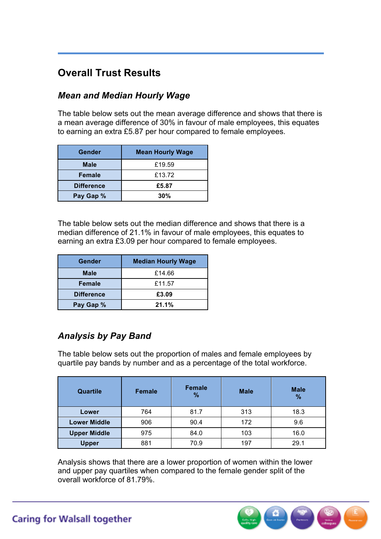### **Overall Trust Results**

#### *Mean and Median Hourly Wage*

The table below sets out the mean average difference and shows that there is a mean average difference of 30% in favour of male employees, this equates to earning an extra £5.87 per hour compared to female employees.

| Gender            | <b>Mean Hourly Wage</b> |
|-------------------|-------------------------|
| <b>Male</b>       | £19.59                  |
| <b>Female</b>     | £13.72                  |
| <b>Difference</b> | £5.87                   |
| Pay Gap %         | 30%                     |

The table below sets out the median difference and shows that there is a median difference of 21.1% in favour of male employees, this equates to earning an extra £3.09 per hour compared to female employees.

| Gender            | <b>Median Hourly Wage</b> |
|-------------------|---------------------------|
| <b>Male</b>       | £14.66                    |
| Female            | £11.57                    |
| <b>Difference</b> | £3.09                     |
| Pay Gap %         | 21.1%                     |

#### *Analysis by Pay Band*

The table below sets out the proportion of males and female employees by quartile pay bands by number and as a percentage of the total workforce.

| Quartile            | <b>Female</b> | <b>Female</b><br>% | <b>Male</b> | <b>Male</b><br>$\frac{9}{6}$ |
|---------------------|---------------|--------------------|-------------|------------------------------|
| Lower               | 764           | 81.7               | 313         | 18.3                         |
| <b>Lower Middle</b> | 906           | 90.4               | 172         | 9.6                          |
| <b>Upper Middle</b> | 975           | 84.0               | 103         | 16.0                         |
| <b>Upper</b>        | 881           | 70.9               | 197         | 29.1                         |

Analysis shows that there are a lower proportion of women within the lower and upper pay quartiles when compared to the female gender split of the overall workforce of 81.79%.

 $\begin{pmatrix} 0 \\ 0 \\ 0 \end{pmatrix}$ 

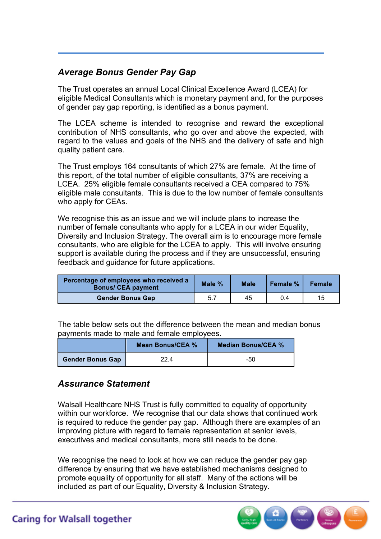#### *Average Bonus Gender Pay Gap*

The Trust operates an annual Local Clinical Excellence Award (LCEA) for eligible Medical Consultants which is monetary payment and, for the purposes of gender pay gap reporting, is identified as a bonus payment.

The LCEA scheme is intended to recognise and reward the exceptional contribution of NHS consultants, who go over and above the expected, with regard to the values and goals of the NHS and the delivery of safe and high quality patient care.

The Trust employs 164 consultants of which 27% are female. At the time of this report, of the total number of eligible consultants, 37% are receiving a LCEA. 25% eligible female consultants received a CEA compared to 75% eligible male consultants. This is due to the low number of female consultants who apply for CEAs.

We recognise this as an issue and we will include plans to increase the number of female consultants who apply for a LCEA in our wider Equality, Diversity and Inclusion Strategy. The overall aim is to encourage more female consultants, who are eligible for the LCEA to apply. This will involve ensuring support is available during the process and if they are unsuccessful, ensuring feedback and guidance for future applications.

| Percentage of employees who received a<br><b>Bonus/ CEA payment</b> | Male % | <b>Male</b> | Female % | <b>Female</b> |
|---------------------------------------------------------------------|--------|-------------|----------|---------------|
| <b>Gender Bonus Gap</b>                                             | 5.7    | 45          | 0.4      | 15            |

| Moon DonualCEA 0/                                                         | Modion DonualCEA 0/ |  |
|---------------------------------------------------------------------------|---------------------|--|
| payments made to male and female employees.                               |                     |  |
| The table below sets out the difference between the mean and median bonus |                     |  |

|                         | Mean Bonus/CEA % | <b>Median Bonus/CEA %</b> |
|-------------------------|------------------|---------------------------|
| <b>Gender Bonus Gap</b> | 22.4             | -50                       |

#### *Assurance Statement*

Walsall Healthcare NHS Trust is fully committed to equality of opportunity within our workforce. We recognise that our data shows that continued work is required to reduce the gender pay gap. Although there are examples of an improving picture with regard to female representation at senior levels. executives and medical consultants, more still needs to be done.

We recognise the need to look at how we can reduce the gender pay gap difference by ensuring that we have established mechanisms designed to promote equality of opportunity for all staff. Many of the actions will be included as part of our Equality, Diversity & Inclusion Strategy.



**Caring for Walsall together**